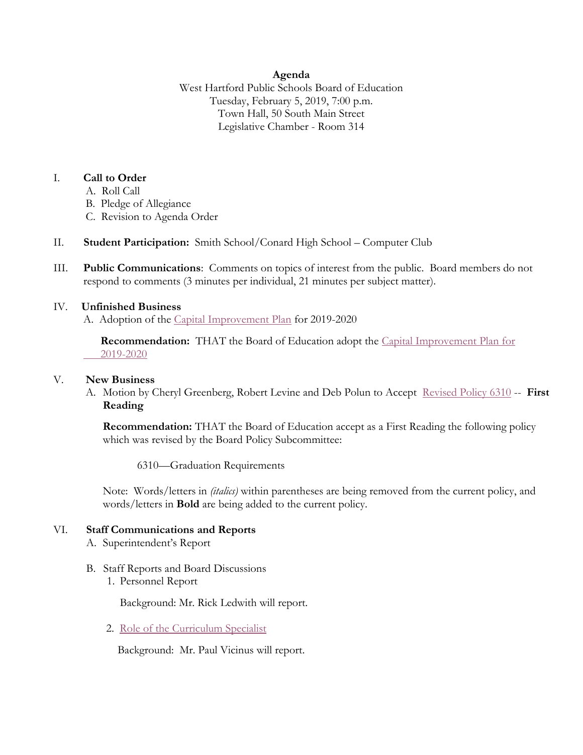## **Agenda**

West Hartford Public Schools Board of Education Tuesday, February 5, 2019, 7:00 p.m. Town Hall, 50 South Main Street Legislative Chamber - Room 314

## I. **Call to Order**

- A. Roll Call
- B. Pledge of Allegiance
- C. Revision to Agenda Order
- II. **Student Participation:** Smith School/Conard High School Computer Club
- III. **Public Communications**: Comments on topics of interest from the public. Board members do not respond to comments (3 minutes per individual, 21 minutes per subject matter).

## IV. **Unfinished Business**

A. Adoption of the [Capital Improvement Plan](https://westhartford.finalsite.com/uploaded/BOE/BOE_Documents/20190205/CIP_Adoption_Agenda_Item.pdf?1549041252545) for 2019-2020

 **Recommendation:** THAT the Board of Education adopt the [Capital Improvement Plan for](https://westhartford.finalsite.com/uploaded/BOE/BOE_Documents/20190205/Final_Final_CIP_Narrative_for_Jan_15_2019.pdf?1549041662710)  [2019-2020](https://westhartford.finalsite.com/uploaded/BOE/BOE_Documents/20190205/Final_Final_CIP_Narrative_for_Jan_15_2019.pdf?1549041662710)

#### V. **New Business**

A. Motion by Cheryl Greenberg, Robert Levine and Deb Polun to Accept [Revised Policy 6310](https://westhartford.finalsite.com/uploaded/BOE/BOE_Documents/20190205/2-5-19_agenda_item_V.A.,_revised_6310,_grad._req.,_1st_rdg.pdf?1549041141788) -- **First Reading**

**Recommendation:** THAT the Board of Education accept as a First Reading the following policy which was revised by the Board Policy Subcommittee:

6310—Graduation Requirements

Note: Words/letters in *(italics)* within parentheses are being removed from the current policy, and words/letters in **Bold** are being added to the current policy.

# VI. **Staff Communications and Reports**

- A. Superintendent's Report
- B. Staff Reports and Board Discussions
	- 1. Personnel Report

Background: Mr. Rick Ledwith will report.

2. [Role of the Curriculum Specialist](https://westhartford.finalsite.com/uploaded/BOE/BOE_Documents/20190205/Role_of_the_CS.pdf?1549041749185)

Background: Mr. Paul Vicinus will report.